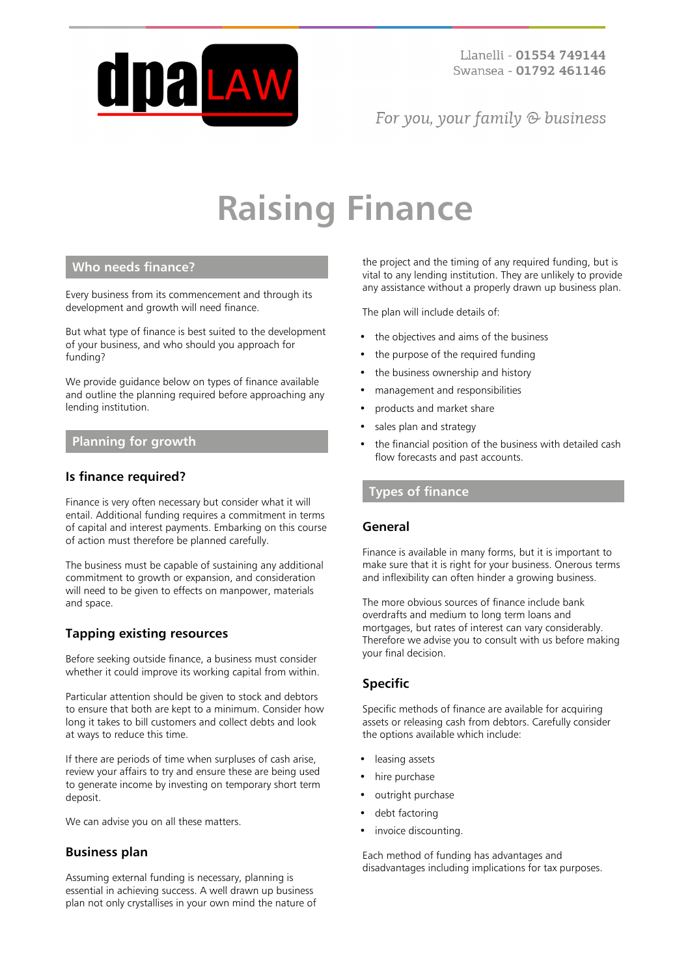

For you, your family  $\odot$  business

# **Raising Finance**

## **Who needs finance?**

Every business from its commencement and through its development and growth will need finance.

But what type of finance is best suited to the development of your business, and who should you approach for funding?

We provide guidance below on types of finance available and outline the planning required before approaching any lending institution.

#### **Planning for growth**

## **Is finance required?**

Finance is very often necessary but consider what it will entail. Additional funding requires a commitment in terms of capital and interest payments. Embarking on this course of action must therefore be planned carefully.

The business must be capable of sustaining any additional commitment to growth or expansion, and consideration will need to be given to effects on manpower, materials and space.

## **Tapping existing resources**

Before seeking outside finance, a business must consider whether it could improve its working capital from within.

Particular attention should be given to stock and debtors to ensure that both are kept to a minimum. Consider how long it takes to bill customers and collect debts and look at ways to reduce this time.

If there are periods of time when surpluses of cash arise, review your affairs to try and ensure these are being used to generate income by investing on temporary short term deposit.

We can advise you on all these matters.

#### **Business plan**

Assuming external funding is necessary, planning is essential in achieving success. A well drawn up business plan not only crystallises in your own mind the nature of

the project and the timing of any required funding, but is vital to any lending institution. They are unlikely to provide any assistance without a properly drawn up business plan.

The plan will include details of:

- the objectives and aims of the business
- the purpose of the required funding
- the business ownership and history
- management and responsibilities
- products and market share
- sales plan and strategy
- the financial position of the business with detailed cash flow forecasts and past accounts.

#### **Types of finance**

#### **General**

Finance is available in many forms, but it is important to make sure that it is right for your business. Onerous terms and inflexibility can often hinder a growing business.

The more obvious sources of finance include bank overdrafts and medium to long term loans and mortgages, but rates of interest can vary considerably. Therefore we advise you to consult with us before making your final decision.

## **Specific**

Specific methods of finance are available for acquiring assets or releasing cash from debtors. Carefully consider the options available which include:

- leasing assets
- hire purchase
- outright purchase
- debt factoring
- invoice discounting.

Each method of funding has advantages and disadvantages including implications for tax purposes.